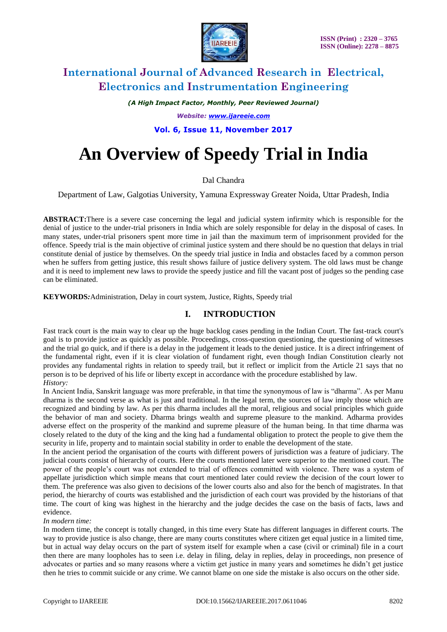

*(A High Impact Factor, Monthly, Peer Reviewed Journal)*

*Website: [www.ijareeie.com](http://www.ijareeie.com/)*

**Vol. 6, Issue 11, November 2017**

# **An Overview of Speedy Trial in India**

# Dal Chandra

Department of Law, Galgotias University, Yamuna Expressway Greater Noida, Uttar Pradesh, India

**ABSTRACT:**There is a severe case concerning the legal and judicial system infirmity which is responsible for the denial of justice to the under-trial prisoners in India which are solely responsible for delay in the disposal of cases. In many states, under-trial prisoners spent more time in jail than the maximum term of imprisonment provided for the offence. Speedy trial is the main objective of criminal justice system and there should be no question that delays in trial constitute denial of justice by themselves. On the speedy trial justice in India and obstacles faced by a common person when he suffers from getting justice, this result shows failure of justice delivery system. The old laws must be change and it is need to implement new laws to provide the speedy justice and fill the vacant post of judges so the pending case can be eliminated.

**KEYWORDS***:*Administration, Delay in court system, Justice, Rights, Speedy trial

# **I. INTRODUCTION**

Fast track court is the main way to clear up the huge backlog cases pending in the Indian Court. The fast-track court's goal is to provide justice as quickly as possible. Proceedings, cross-question questioning, the questioning of witnesses and the trial go quick, and if there is a delay in the judgement it leads to the denied justice. It is a direct infringement of the fundamental right, even if it is clear violation of fundament right, even though Indian Constitution clearly not provides any fundamental rights in relation to speedy trail, but it reflect or implicit from the Article 21 says that no person is to be deprived of his life or liberty except in accordance with the procedure established by law.

*History:*

In Ancient India, Sanskrit language was more preferable, in that time the synonymous of law is "dharma". As per Manu dharma is the second verse as what is just and traditional. In the legal term, the sources of law imply those which are recognized and binding by law. As per this dharma includes all the moral, religious and social principles which guide the behavior of man and society. Dharma brings wealth and supreme pleasure to the mankind. Adharma provides adverse effect on the prosperity of the mankind and supreme pleasure of the human being. In that time dharma was closely related to the duty of the king and the king had a fundamental obligation to protect the people to give them the security in life, property and to maintain social stability in order to enable the development of the state.

In the ancient period the organisation of the courts with different powers of jurisdiction was a feature of judiciary. The judicial courts consist of hierarchy of courts. Here the courts mentioned later were superior to the mentioned court. The power of the people's court was not extended to trial of offences committed with violence. There was a system of appellate jurisdiction which simple means that court mentioned later could review the decision of the court lower to them. The preference was also given to decisions of the lower courts also and also for the bench of magistrates. In that period, the hierarchy of courts was established and the jurisdiction of each court was provided by the historians of that time. The court of king was highest in the hierarchy and the judge decides the case on the basis of facts, laws and evidence.

### *In modern time:*

In modern time, the concept is totally changed, in this time every State has different languages in different courts. The way to provide justice is also change, there are many courts constitutes where citizen get equal justice in a limited time, but in actual way delay occurs on the part of system itself for example when a case (civil or criminal) file in a court then there are many loopholes has to seen i.e. delay in filing, delay in replies, delay in proceedings, non presence of advocates or parties and so many reasons where a victim get justice in many years and sometimes he didn't get justice then he tries to commit suicide or any crime. We cannot blame on one side the mistake is also occurs on the other side.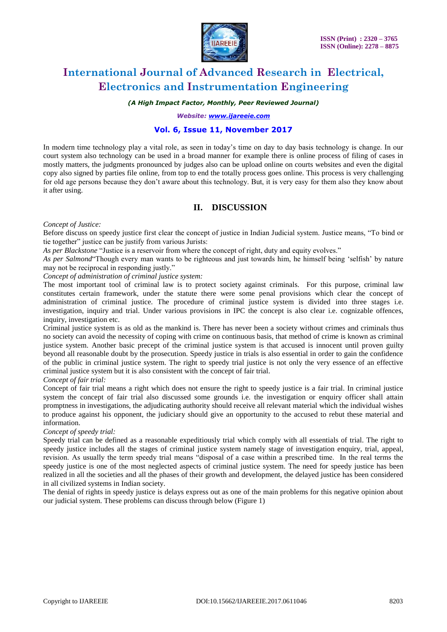

### *(A High Impact Factor, Monthly, Peer Reviewed Journal)*

*Website: [www.ijareeie.com](http://www.ijareeie.com/)*

### **Vol. 6, Issue 11, November 2017**

In modern time technology play a vital role, as seen in today's time on day to day basis technology is change. In our court system also technology can be used in a broad manner for example there is online process of filing of cases in mostly matters, the judgments pronounced by judges also can be upload online on courts websites and even the digital copy also signed by parties file online, from top to end the totally process goes online. This process is very challenging for old age persons because they don't aware about this technology. But, it is very easy for them also they know about it after using.

# **II. DISCUSSION**

#### *Concept of Justice:*

Before discuss on speedy justice first clear the concept of justice in Indian Judicial system. Justice means, "To bind or tie together" justice can be justify from various Jurists:

*As per Blackstone* "Justice is a reservoir from where the concept of right, duty and equity evolves."

*As per Salmond*"Though every man wants to be righteous and just towards him, he himself being 'selfish' by nature may not be reciprocal in responding justly."

*Concept of administration of criminal justice system:*

The most important tool of criminal law is to protect society against criminals. For this purpose, criminal law constitutes certain framework, under the statute there were some penal provisions which clear the concept of administration of criminal justice. The procedure of criminal justice system is divided into three stages i.e. investigation, inquiry and trial. Under various provisions in IPC the concept is also clear i.e. cognizable offences, inquiry, investigation etc.

Criminal justice system is as old as the mankind is. There has never been a society without crimes and criminals thus no society can avoid the necessity of coping with crime on continuous basis, that method of crime is known as criminal justice system. Another basic precept of the criminal justice system is that accused is innocent until proven guilty beyond all reasonable doubt by the prosecution. Speedy justice in trials is also essential in order to gain the confidence of the public in criminal justice system. The right to speedy trial justice is not only the very essence of an effective criminal justice system but it is also consistent with the concept of fair trial.

### *Concept of fair trial:*

Concept of fair trial means a right which does not ensure the right to speedy justice is a fair trial. In criminal justice system the concept of fair trial also discussed some grounds i.e. the investigation or enquiry officer shall attain promptness in investigations, the adjudicating authority should receive all relevant material which the individual wishes to produce against his opponent, the judiciary should give an opportunity to the accused to rebut these material and information.

### *Concept of speedy trial:*

Speedy trial can be defined as a reasonable expeditiously trial which comply with all essentials of trial. The right to speedy justice includes all the stages of criminal justice system namely stage of investigation enquiry, trial, appeal, revision. As usually the term speedy trial means "disposal of a case within a prescribed time. In the real terms the speedy justice is one of the most neglected aspects of criminal justice system. The need for speedy justice has been realized in all the societies and all the phases of their growth and development, the delayed justice has been considered in all civilized systems in Indian society.

The denial of rights in speedy justice is delays express out as one of the main problems for this negative opinion about our judicial system. These problems can discuss through below (Figure 1)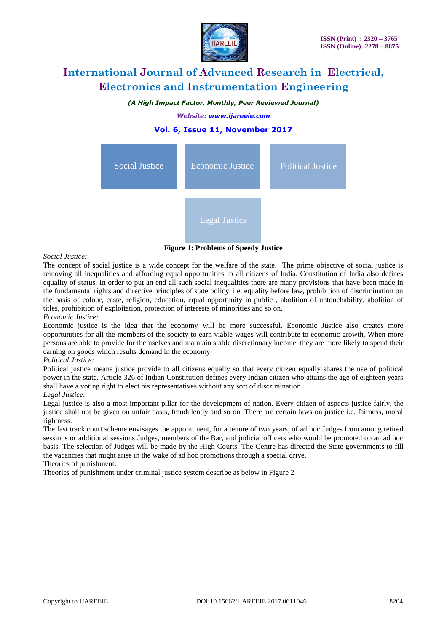

*(A High Impact Factor, Monthly, Peer Reviewed Journal)*

*Website: [www.ijareeie.com](http://www.ijareeie.com/)*

# **Vol. 6, Issue 11, November 2017**



**Figure 1: Problems of Speedy Justice**

#### *Social Justice:*

The concept of social justice is a wide concept for the welfare of the state. The prime objective of social justice is removing all inequalities and affording equal opportunities to all citizens of India. Constitution of India also defines equality of status. In order to put an end all such social inequalities there are many provisions that have been made in the fundamental rights and directive principles of state policy. i.e. equality before law, prohibition of discrimination on the basis of colour, caste, religion, education, equal opportunity in public , abolition of untouchability, abolition of titles, prohibition of exploitation, protection of interests of minorities and so on.

#### *Economic Justice:*

Economic justice is the idea that the economy will be more successful. Economic Justice also creates more opportunities for all the members of the society to earn viable wages will contribute to economic growth. When more persons are able to provide for themselves and maintain stable discretionary income, they are more likely to spend their earning on goods which results demand in the economy.

#### *Political Justice:*

Political justice means justice provide to all citizens equally so that every citizen equally shares the use of political power in the state. Article 326 of Indian Constitution defines every Indian citizen who attains the age of eighteen years shall have a voting right to elect his representatives without any sort of discrimination.

#### *Legal Justice:*

Legal justice is also a most important pillar for the development of nation. Every citizen of aspects justice fairly, the justice shall not be given on unfair basis, fraudulently and so on. There are certain laws on justice i.e. fairness, moral rightness.

The fast track court scheme envisages the appointment, for a tenure of two years, of ad hoc Judges from among retired sessions or additional sessions Judges, members of the Bar, and judicial officers who would be promoted on an ad hoc basis. The selection of Judges will be made by the High Courts. The Centre has directed the State governments to fill the vacancies that might arise in the wake of ad hoc promotions through a special drive. Theories of punishment:

Theories of punishment under criminal justice system describe as below in Figure 2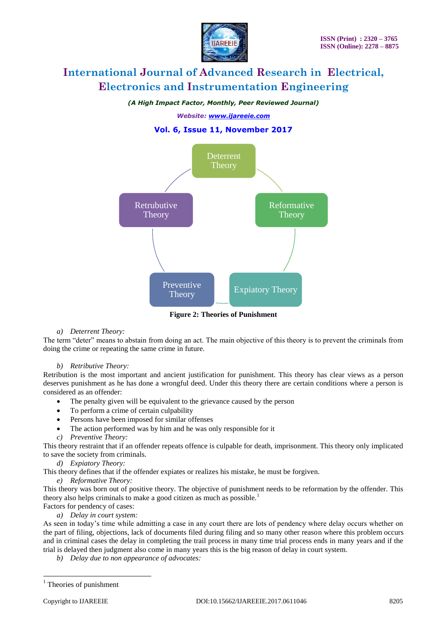

### *(A High Impact Factor, Monthly, Peer Reviewed Journal)*

*Website: [www.ijareeie.com](http://www.ijareeie.com/)*

# **Vol. 6, Issue 11, November 2017**



**Figure 2: Theories of Punishment**

### *a) Deterrent Theory:*

The term "deter" means to abstain from doing an act. The main objective of this theory is to prevent the criminals from doing the crime or repeating the same crime in future.

### *b) Retributive Theory:*

Retribution is the most important and ancient justification for punishment. This theory has clear views as a person deserves punishment as he has done a wrongful deed. Under this theory there are certain conditions where a person is considered as an offender:

- The penalty given will be equivalent to the grievance caused by the person
- To perform a crime of certain culpability
- Persons have been imposed for similar offenses
- The action performed was by him and he was only responsible for it
- *c) Preventive Theory:*

This theory restraint that if an offender repeats offence is culpable for death, imprisonment. This theory only implicated to save the society from criminals.

- *d) Expiatory Theory:*
- This theory defines that if the offender expiates or realizes his mistake, he must be forgiven.
	- *e) Reformative Theory:*

This theory was born out of positive theory. The objective of punishment needs to be reformation by the offender. This theory also helps criminals to make a good citizen as much as possible.<sup>1</sup>

Factors for pendency of cases: *a) Delay in court system:*

As seen in today's time while admitting a case in any court there are lots of pendency where delay occurs whether on the part of filing, objections, lack of documents filed during filing and so many other reason where this problem occurs and in criminal cases the delay in completing the trail process in many time trial process ends in many years and if the trial is delayed then judgment also come in many years this is the big reason of delay in court system.

*b) Delay due to non appearance of advocates:*

 $\overline{a}$ 

<sup>&</sup>lt;sup>1</sup> Theories of punishment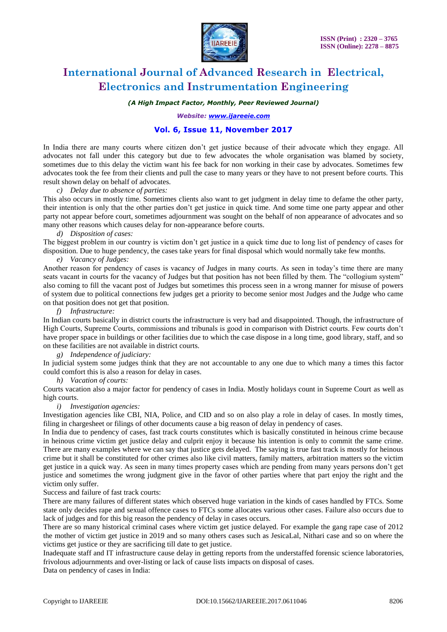

*(A High Impact Factor, Monthly, Peer Reviewed Journal)*

*Website: [www.ijareeie.com](http://www.ijareeie.com/)*

# **Vol. 6, Issue 11, November 2017**

In India there are many courts where citizen don't get justice because of their advocate which they engage. All advocates not fall under this category but due to few advocates the whole organisation was blamed by society, sometimes due to this delay the victim want his fee back for non working in their case by advocates. Sometimes few advocates took the fee from their clients and pull the case to many years or they have to not present before courts. This result shown delay on behalf of advocates.

### *c) Delay due to absence of parties:*

This also occurs in mostly time. Sometimes clients also want to get judgment in delay time to defame the other party, their intention is only that the other parties don't get justice in quick time. And some time one party appear and other party not appear before court, sometimes adjournment was sought on the behalf of non appearance of advocates and so many other reasons which causes delay for non-appearance before courts.

#### *d) Disposition of cases:*

The biggest problem in our country is victim don't get justice in a quick time due to long list of pendency of cases for disposition. Due to huge pendency, the cases take years for final disposal which would normally take few months.

### *e) Vacancy of Judges:*

Another reason for pendency of cases is vacancy of Judges in many courts. As seen in today's time there are many seats vacant in courts for the vacancy of Judges but that position has not been filled by them. The "collogium system" also coming to fill the vacant post of Judges but sometimes this process seen in a wrong manner for misuse of powers of system due to political connections few judges get a priority to become senior most Judges and the Judge who came on that position does not get that position.

#### *f) Infrastructure:*

In Indian courts basically in district courts the infrastructure is very bad and disappointed. Though, the infrastructure of High Courts, Supreme Courts, commissions and tribunals is good in comparison with District courts. Few courts don't have proper space in buildings or other facilities due to which the case dispose in a long time, good library, staff, and so on these facilities are not available in district courts.

*g) Independence of judiciary:* 

In judicial system some judges think that they are not accountable to any one due to which many a times this factor could comfort this is also a reason for delay in cases.

*h) Vacation of courts:* 

Courts vacation also a major factor for pendency of cases in India. Mostly holidays count in Supreme Court as well as high courts.

### *i) Investigation agencies:*

Investigation agencies like CBI, NIA, Police, and CID and so on also play a role in delay of cases. In mostly times, filing in chargesheet or filings of other documents cause a big reason of delay in pendency of cases.

In India due to pendency of cases, fast track courts constitutes which is basically constituted in heinous crime because in heinous crime victim get justice delay and culprit enjoy it because his intention is only to commit the same crime. There are many examples where we can say that justice gets delayed. The saying is true fast track is mostly for heinous crime but it shall be constituted for other crimes also like civil matters, family matters, arbitration matters so the victim get justice in a quick way. As seen in many times property cases which are pending from many years persons don't get justice and sometimes the wrong judgment give in the favor of other parties where that part enjoy the right and the victim only suffer.

Success and failure of fast track courts:

There are many failures of different states which observed huge variation in the kinds of cases handled by FTCs. Some state only decides rape and sexual offence cases to FTCs some allocates various other cases. Failure also occurs due to lack of judges and for this big reason the pendency of delay in cases occurs.

There are so many historical criminal cases where victim get justice delayed. For example the gang rape case of 2012 the mother of victim get justice in 2019 and so many others cases such as JesicaLal, Nithari case and so on where the victims get justice or they are sacrificing till date to get justice.

Inadequate staff and IT infrastructure cause delay in getting reports from the understaffed forensic science laboratories, frivolous adjournments and over-listing or lack of cause lists impacts on disposal of cases.

Data on pendency of cases in India: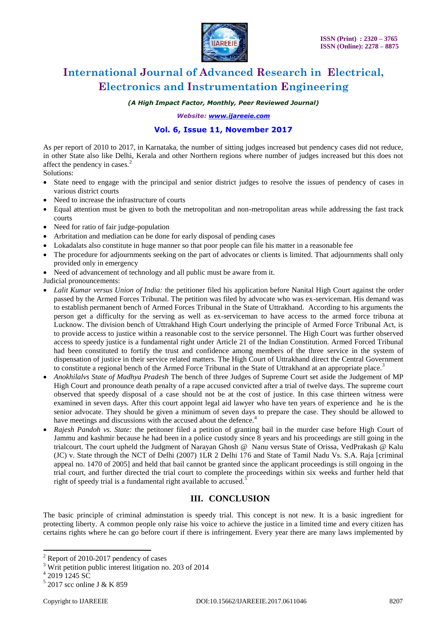

*(A High Impact Factor, Monthly, Peer Reviewed Journal)*

*Website: [www.ijareeie.com](http://www.ijareeie.com/)*

# **Vol. 6, Issue 11, November 2017**

As per report of 2010 to 2017, in Karnataka, the number of sitting judges increased but pendency cases did not reduce, in other State also like Delhi, Kerala and other Northern regions where number of judges increased but this does not affect the pendency in cases.<sup>2</sup>

Solutions:

- State need to engage with the principal and senior district judges to resolve the issues of pendency of cases in various district courts
- Need to increase the infrastructure of courts
- Equal attention must be given to both the metropolitan and non-metropolitan areas while addressing the fast track courts
- Need for ratio of fair judge-population
- Arbritation and mediation can be done for early disposal of pending cases
- Lokadalats also constitute in huge manner so that poor people can file his matter in a reasonable fee
- The procedure for adjournments seeking on the part of advocates or clients is limited. That adjournments shall only provided only in emergency
- Need of advancement of technology and all public must be aware from it.

Judicial pronouncements:

- *Lalit Kumar versus Union of India:* the petitioner filed his application before Nanital High Court against the order passed by the Armed Forces Tribunal. The petition was filed by advocate who was ex-serviceman. His demand was to establish permanent bench of Armed Forces Tribunal in the State of Uttrakhand. According to his arguments the person get a difficulty for the serving as well as ex-serviceman to have access to the armed force tribuna at Lucknow. The division bench of Uttrakhand High Court underlying the principle of Armed Force Tribunal Act, is to provide access to justice within a reasonable cost to the service personnel. The High Court was further observed access to speedy justice is a fundamental right under Article 21 of the Indian Constitution. Armed Forced Tribunal had been constituted to fortify the trust and confidence among members of the three service in the system of dispensation of justice in their service related matters. The High Court of Uttrakhand direct the Central Government to constitute a regional bench of the Armed Force Tribunal in the State of Uttrakhand at an appropriate place.<sup>3</sup>
- *Anokhilalvs State of Madhya Pradesh* The bench of three Judges of Supreme Court set aside the Judgement of MP High Court and pronounce death penalty of a rape accused convicted after a trial of twelve days. The supreme court observed that speedy disposal of a case should not be at the cost of justice. In this case thirteen witness were examined in seven days. After this court appoint legal aid lawyer who have ten years of experience and he is the senior advocate. They should be given a minimum of seven days to prepare the case. They should be allowed to have meetings and discussions with the accused about the defence.<sup>4</sup>
- *Rajesh Pandoh vs. State:* the petitoner filed a petition of granting bail in the murder case before High Court of Jammu and kashmir because he had been in a police custody since 8 years and his proceedings are still going in the trialcourt. The court upheld the Judgment of Narayan Ghosh @ Nanu versus State of Orissa, VedPrakash @ Kalu (JC) v. State through the NCT of Delhi (2007) 1LR 2 Delhi 176 and State of Tamil Nadu Vs. S.A. Raja [criminal appeal no. 1470 of 2005] and held that bail cannot be granted since the applicant proceedings is still ongoing in the trial court, and further directed the trial court to complete the proceedings within six weeks and further held that right of speedy trial is a fundamental right available to accused.<sup>5</sup>

# **III. CONCLUSION**

The basic principle of criminal adminstation is speedy trial. This concept is not new. It is a basic ingredient for protecting liberty. A common people only raise his voice to achieve the justice in a limited time and every citizen has certains rights where he can go before court if there is infringement. Every year there are many laws implemented by

 $\ddot{\phantom{a}}$ 

 $2$  Report of 2010-2017 pendency of cases

<sup>&</sup>lt;sup>3</sup> Writ petition public interest litigation no. 203 of 2014

<sup>4</sup> 2019 1245 SC

<sup>5</sup> 2017 scc online J & K 859